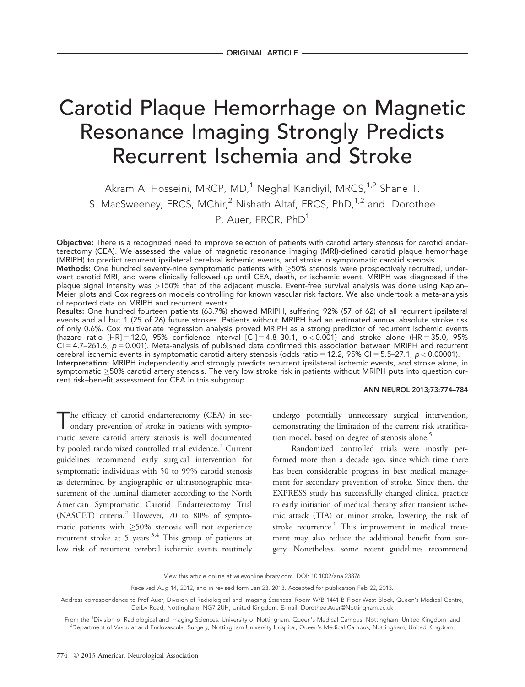# Carotid Plaque Hemorrhage on Magnetic Resonance Imaging Strongly Predicts Recurrent Ischemia and Stroke

Akram A. Hosseini, MRCP, MD,<sup>1</sup> Neghal Kandiyil, MRCS,<sup>1,2</sup> Shane T. S. MacSweeney, FRCS, MChir,<sup>2</sup> Nishath Altaf, FRCS, PhD,<sup>1,2</sup> and Dorothee P. Auer, FRCR, PhD<sup>1</sup>

Objective: There is a recognized need to improve selection of patients with carotid artery stenosis for carotid endarterectomy (CEA). We assessed the value of magnetic resonance imaging (MRI)-defined carotid plaque hemorrhage (MRIPH) to predict recurrent ipsilateral cerebral ischemic events, and stroke in symptomatic carotid stenosis.

**Methods:** One hundred seventy-nine symptomatic patients with  $\geq$ 50% stenosis were prospectively recruited, underwent carotid MRI, and were clinically followed up until CEA, death, or ischemic event. MRIPH was diagnosed if the plaque signal intensity was >150% that of the adjacent muscle. Event-free survival analysis was done using Kaplan– Meier plots and Cox regression models controlling for known vascular risk factors. We also undertook a meta-analysis of reported data on MRIPH and recurrent events.

Results: One hundred fourteen patients (63.7%) showed MRIPH, suffering 92% (57 of 62) of all recurrent ipsilateral events and all but 1 (25 of 26) future strokes. Patients without MRIPH had an estimated annual absolute stroke risk of only 0.6%. Cox multivariate regression analysis proved MRIPH as a strong predictor of recurrent ischemic events (hazard ratio [HR] = 12.0, 95% confidence interval [CI] = 4.8–30.1,  $p < 0.001$ ) and stroke alone (HR = 35.0, 95%  $Cl = 4.7$ –261.6,  $p = 0.001$ ). Meta-analysis of published data confirmed this association between MRIPH and recurrent cerebral ischemic events in symptomatic carotid artery stenosis (odds ratio = 12.2, 95% CI = 5.5–27.1,  $p < 0.00001$ ). Interpretation: MRIPH independently and strongly predicts recurrent ipsilateral ischemic events, and stroke alone, in

symptomatic ≥50% carotid artery stenosis. The very low stroke risk in patients without MRIPH puts into question current risk–benefit assessment for CEA in this subgroup.

## ANN NEUROL 2013;73:774–784

The efficacy of carotid endarterectomy (CEA) in secondary prevention of stroke in patients with symptomatic severe carotid artery stenosis is well documented by pooled randomized controlled trial evidence.<sup>1</sup> Current guidelines recommend early surgical intervention for symptomatic individuals with 50 to 99% carotid stenosis as determined by angiographic or ultrasonographic measurement of the luminal diameter according to the North American Symptomatic Carotid Endarterectomy Trial (NASCET) criteria.<sup>2</sup> However, 70 to 80% of symptomatic patients with  $\geq$ 50% stenosis will not experience recurrent stroke at 5 years.<sup>3,4</sup> This group of patients at low risk of recurrent cerebral ischemic events routinely

undergo potentially unnecessary surgical intervention, demonstrating the limitation of the current risk stratification model, based on degree of stenosis alone.<sup>5</sup>

Randomized controlled trials were mostly performed more than a decade ago, since which time there has been considerable progress in best medical management for secondary prevention of stroke. Since then, the EXPRESS study has successfully changed clinical practice to early initiation of medical therapy after transient ischemic attack (TIA) or minor stroke, lowering the risk of stroke recurrence.<sup>6</sup> This improvement in medical treatment may also reduce the additional benefit from surgery. Nonetheless, some recent guidelines recommend

View this article online at wileyonlinelibrary.com. DOI: 10.1002/ana.23876

Received Aug 14, 2012, and in revised form Jan 23, 2013. Accepted for publication Feb 22, 2013.

Address correspondence to Prof Auer, Division of Radiological and Imaging Sciences, Room W/B 1441 B Floor West Block, Queen's Medical Centre, Derby Road, Nottingham, NG7 2UH, United Kingdom. E-mail: Dorothee.Auer@Nottingham.ac.uk

From the <sup>1</sup>Division of Radiological and Imaging Sciences, University of Nottingham, Queen's Medical Campus, Nottingham, United Kingdom; and 2 Department of Vascular and Endovascular Surgery, Nottingham University Hospital, Queen's Medical Campus, Nottingham, United Kingdom.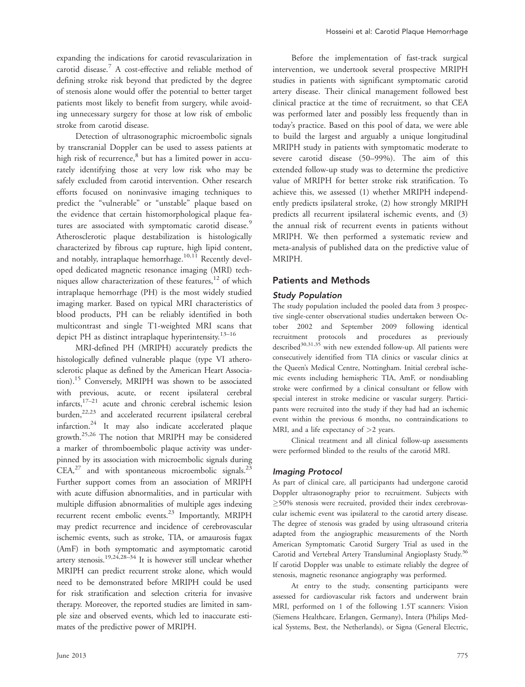expanding the indications for carotid revascularization in carotid disease.<sup>7</sup> A cost-effective and reliable method of defining stroke risk beyond that predicted by the degree of stenosis alone would offer the potential to better target patients most likely to benefit from surgery, while avoiding unnecessary surgery for those at low risk of embolic stroke from carotid disease.

Detection of ultrasonographic microembolic signals by transcranial Doppler can be used to assess patients at high risk of recurrence, $8$  but has a limited power in accurately identifying those at very low risk who may be safely excluded from carotid intervention. Other research efforts focused on noninvasive imaging techniques to predict the "vulnerable" or "unstable" plaque based on the evidence that certain histomorphological plaque features are associated with symptomatic carotid disease.<sup>9</sup> Atherosclerotic plaque destabilization is histologically characterized by fibrous cap rupture, high lipid content, and notably, intraplaque hemorrhage.<sup>10,11</sup> Recently developed dedicated magnetic resonance imaging (MRI) techniques allow characterization of these features, $12$  of which intraplaque hemorrhage (PH) is the most widely studied imaging marker. Based on typical MRI characteristics of blood products, PH can be reliably identified in both multicontrast and single T1-weighted MRI scans that depict PH as distinct intraplaque hyperintensity.<sup>13–16</sup>

MRI-defined PH (MRIPH) accurately predicts the histologically defined vulnerable plaque (type VI atherosclerotic plaque as defined by the American Heart Association).15 Conversely, MRIPH was shown to be associated with previous, acute, or recent ipsilateral cerebral  $\int_{0}^{17-21}$  acute and chronic cerebral ischemic lesion burden,<sup>22,23</sup> and accelerated recurrent ipsilateral cerebral infarction.24 It may also indicate accelerated plaque growth.25,26 The notion that MRIPH may be considered a marker of thromboembolic plaque activity was underpinned by its association with microembolic signals during  $CEA<sub>1</sub><sup>27</sup>$  and with spontaneous microembolic signals.<sup>23</sup> Further support comes from an association of MRIPH with acute diffusion abnormalities, and in particular with multiple diffusion abnormalities of multiple ages indexing recurrent recent embolic events.<sup>23</sup> Importantly, MRIPH may predict recurrence and incidence of cerebrovascular ischemic events, such as stroke, TIA, or amaurosis fugax (AmF) in both symptomatic and asymptomatic carotid artery stenosis.19,24,28–34 It is however still unclear whether MRIPH can predict recurrent stroke alone, which would need to be demonstrated before MRIPH could be used for risk stratification and selection criteria for invasive therapy. Moreover, the reported studies are limited in sample size and observed events, which led to inaccurate estimates of the predictive power of MRIPH.

Before the implementation of fast-track surgical intervention, we undertook several prospective MRIPH studies in patients with significant symptomatic carotid artery disease. Their clinical management followed best clinical practice at the time of recruitment, so that CEA was performed later and possibly less frequently than in today's practice. Based on this pool of data, we were able to build the largest and arguably a unique longitudinal MRIPH study in patients with symptomatic moderate to severe carotid disease (50–99%). The aim of this extended follow-up study was to determine the predictive value of MRIPH for better stroke risk stratification. To achieve this, we assessed (1) whether MRIPH independently predicts ipsilateral stroke, (2) how strongly MRIPH predicts all recurrent ipsilateral ischemic events, and (3) the annual risk of recurrent events in patients without MRIPH. We then performed a systematic review and meta-analysis of published data on the predictive value of MRIPH.

# Patients and Methods

## Study Population

The study population included the pooled data from 3 prospective single-center observational studies undertaken between October 2002 and September 2009 following identical recruitment protocols and procedures as previously described $30,31,35$  with new extended follow-up. All patients were consecutively identified from TIA clinics or vascular clinics at the Queen's Medical Centre, Nottingham. Initial cerebral ischemic events including hemispheric TIA, AmF, or nondisabling stroke were confirmed by a clinical consultant or fellow with special interest in stroke medicine or vascular surgery. Participants were recruited into the study if they had had an ischemic event within the previous 6 months, no contraindications to MRI, and a life expectancy of  $>2$  years.

Clinical treatment and all clinical follow-up assessments were performed blinded to the results of the carotid MRI.

#### Imaging Protocol

As part of clinical care, all participants had undergone carotid Doppler ultrasonography prior to recruitment. Subjects with -50% stenosis were recruited, provided their index cerebrovascular ischemic event was ipsilateral to the carotid artery disease. The degree of stenosis was graded by using ultrasound criteria adapted from the angiographic measurements of the North American Symptomatic Carotid Surgery Trial as used in the Carotid and Vertebral Artery Transluminal Angioplasty Study.<sup>36</sup> If carotid Doppler was unable to estimate reliably the degree of stenosis, magnetic resonance angiography was performed.

At entry to the study, consenting participants were assessed for cardiovascular risk factors and underwent brain MRI, performed on 1 of the following 1.5T scanners: Vision (Siemens Healthcare, Erlangen, Germany), Intera (Philips Medical Systems, Best, the Netherlands), or Signa (General Electric,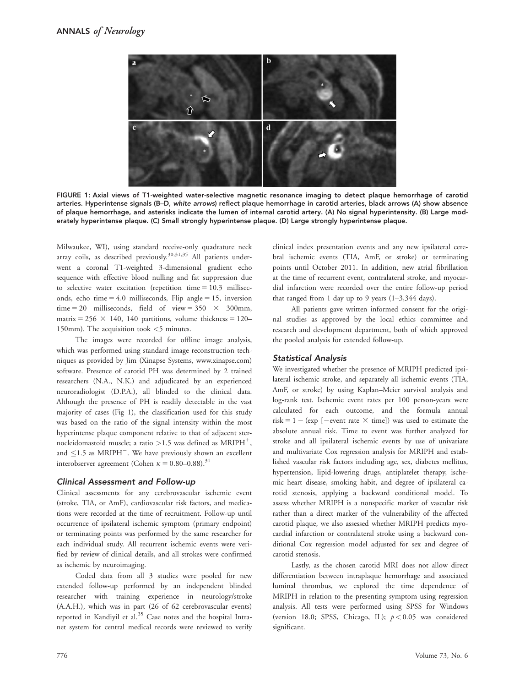

FIGURE 1: Axial views of T1-weighted water-selective magnetic resonance imaging to detect plaque hemorrhage of carotid arteries. Hyperintense signals (B–D, white arrows) reflect plaque hemorrhage in carotid arteries, black arrows (A) show absence of plaque hemorrhage, and asterisks indicate the lumen of internal carotid artery. (A) No signal hyperintensity. (B) Large moderately hyperintense plaque. (C) Small strongly hyperintense plaque. (D) Large strongly hyperintense plaque.

Milwaukee, WI), using standard receive-only quadrature neck array coils, as described previously.<sup>30,31,35</sup> All patients underwent a coronal T1-weighted 3-dimensional gradient echo sequence with effective blood nulling and fat suppression due to selective water excitation (repetition time  $= 10.3$  milliseconds, echo time  $= 4.0$  milliseconds, Flip angle  $= 15$ , inversion time = 20 milliseconds, field of view =  $350 \times 300$ mm, matrix = 256  $\times$  140, 140 partitions, volume thickness = 120– 150mm). The acquisition took <5 minutes.

The images were recorded for offline image analysis, which was performed using standard image reconstruction techniques as provided by Jim (Xinapse Systems,<www.xinapse.com>) software. Presence of carotid PH was determined by 2 trained researchers (N.A., N.K.) and adjudicated by an experienced neuroradiologist (D.P.A.), all blinded to the clinical data. Although the presence of PH is readily detectable in the vast majority of cases (Fig 1), the classification used for this study was based on the ratio of the signal intensity within the most hyperintense plaque component relative to that of adjacent sternocleidomastoid muscle; a ratio  $>1.5$  was defined as MRIPH<sup>+</sup>, and  $\leq$ 1.5 as MRIPH<sup>-</sup>. We have previously shown an excellent interobserver agreement (Cohen  $\kappa = 0.80 - 0.88$ ).<sup>31</sup>

#### Clinical Assessment and Follow-up

Clinical assessments for any cerebrovascular ischemic event (stroke, TIA, or AmF), cardiovascular risk factors, and medications were recorded at the time of recruitment. Follow-up until occurrence of ipsilateral ischemic symptom (primary endpoint) or terminating points was performed by the same researcher for each individual study. All recurrent ischemic events were verified by review of clinical details, and all strokes were confirmed as ischemic by neuroimaging.

Coded data from all 3 studies were pooled for new extended follow-up performed by an independent blinded researcher with training experience in neurology/stroke (A.A.H.), which was in part (26 of 62 cerebrovascular events) reported in Kandiyil et al.<sup>35</sup> Case notes and the hospital Intranet system for central medical records were reviewed to verify

clinical index presentation events and any new ipsilateral cerebral ischemic events (TIA, AmF, or stroke) or terminating points until October 2011. In addition, new atrial fibrillation at the time of recurrent event, contralateral stroke, and myocardial infarction were recorded over the entire follow-up period that ranged from 1 day up to 9 years  $(1-3,344 \text{ days})$ .

All patients gave written informed consent for the original studies as approved by the local ethics committee and research and development department, both of which approved the pooled analysis for extended follow-up.

#### Statistical Analysis

We investigated whether the presence of MRIPH predicted ipsilateral ischemic stroke, and separately all ischemic events (TIA, AmF, or stroke) by using Kaplan–Meier survival analysis and log-rank test. Ischemic event rates per 100 person-years were calculated for each outcome, and the formula annual risk = 1 – (exp [-event rate  $\times$  time]) was used to estimate the absolute annual risk. Time to event was further analyzed for stroke and all ipsilateral ischemic events by use of univariate and multivariate Cox regression analysis for MRIPH and established vascular risk factors including age, sex, diabetes mellitus, hypertension, lipid-lowering drugs, antiplatelet therapy, ischemic heart disease, smoking habit, and degree of ipsilateral carotid stenosis, applying a backward conditional model. To assess whether MRIPH is a nonspecific marker of vascular risk rather than a direct marker of the vulnerability of the affected carotid plaque, we also assessed whether MRIPH predicts myocardial infarction or contralateral stroke using a backward conditional Cox regression model adjusted for sex and degree of carotid stenosis.

Lastly, as the chosen carotid MRI does not allow direct differentiation between intraplaque hemorrhage and associated luminal thrombus, we explored the time dependence of MRIPH in relation to the presenting symptom using regression analysis. All tests were performed using SPSS for Windows (version 18.0; SPSS, Chicago, IL);  $p < 0.05$  was considered significant.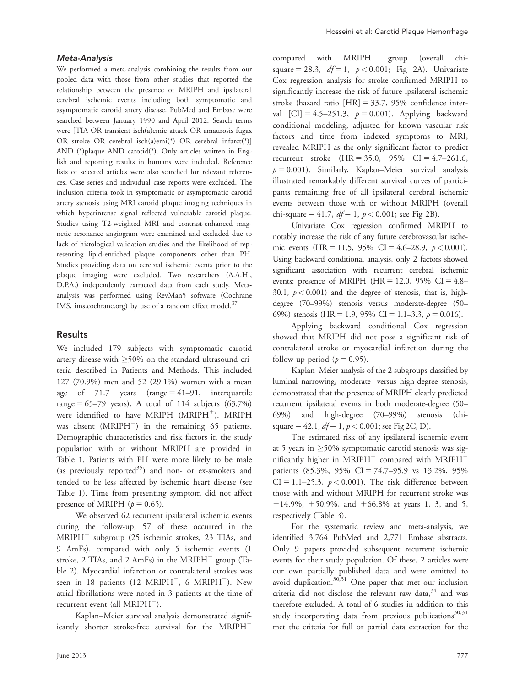#### Meta-Analysis

We performed a meta-analysis combining the results from our pooled data with those from other studies that reported the relationship between the presence of MRIPH and ipsilateral cerebral ischemic events including both symptomatic and asymptomatic carotid artery disease. PubMed and Embase were searched between January 1990 and April 2012. Search terms were [TIA OR transient isch(a)emic attack OR amaurosis fugax OR stroke OR cerebral isch(a)emi(\*) OR cerebral infarct(\*)] AND (\*)plaque AND carotid(\*). Only articles written in English and reporting results in humans were included. Reference lists of selected articles were also searched for relevant references. Case series and individual case reports were excluded. The inclusion criteria took in symptomatic or asymptomatic carotid artery stenosis using MRI carotid plaque imaging techniques in which hyperintense signal reflected vulnerable carotid plaque. Studies using T2-weighted MRI and contrast-enhanced magnetic resonance angiogram were examined and excluded due to lack of histological validation studies and the likelihood of representing lipid-enriched plaque components other than PH. Studies providing data on cerebral ischemic events prior to the plaque imaging were excluded. Two researchers (A.A.H., D.P.A.) independently extracted data from each study. Metaanalysis was performed using RevMan5 software (Cochrane IMS,<ims.cochrane.org>) by use of a random effect model.<sup>37</sup>

# Results

We included 179 subjects with symptomatic carotid artery disease with  ${\geq}50\%$  on the standard ultrasound criteria described in Patients and Methods. This included 127 (70.9%) men and 52 (29.1%) women with a mean age of 71.7 years  $(range = 41-91$ , interquartile range  $= 65-79$  years). A total of 114 subjects  $(63.7%)$ were identified to have MRIPH  $(MRIPH^+)$ . MRIPH was absent  $(MRIPH^-)$  in the remaining 65 patients. Demographic characteristics and risk factors in the study population with or without MRIPH are provided in Table 1. Patients with PH were more likely to be male (as previously reported $^{35}$ ) and non- or ex-smokers and tended to be less affected by ischemic heart disease (see Table 1). Time from presenting symptom did not affect presence of MRIPH  $(p = 0.65)$ .

We observed 62 recurrent ipsilateral ischemic events during the follow-up; 57 of these occurred in the  $MRIPH^+$  subgroup (25 ischemic strokes, 23 TIAs, and 9 AmFs), compared with only 5 ischemic events (1 stroke, 2 TIAs, and 2 AmFs) in the MRIPH<sup> $-$ </sup> group (Table 2). Myocardial infarction or contralateral strokes was seen in 18 patients (12  $MRIPH^{+}$ , 6  $MRIPH^{-}$ ). New atrial fibrillations were noted in 3 patients at the time of recurrent event (all  $MRIPH^{-}$ ).

Kaplan–Meier survival analysis demonstrated significantly shorter stroke-free survival for the MRIPH<sup>+</sup>

 $compared$  with  $MRIPH^-$  group (overall chisquare = 28.3,  $df = 1$ ,  $p < 0.001$ ; Fig 2A). Univariate Cox regression analysis for stroke confirmed MRIPH to significantly increase the risk of future ipsilateral ischemic stroke (hazard ratio  $[HR] = 33.7, 95\%$  confidence interval  $[CI] = 4.5 - 251.3$ ,  $p = 0.001$ ). Applying backward conditional modeling, adjusted for known vascular risk factors and time from indexed symptoms to MRI, revealed MRIPH as the only significant factor to predict recurrent stroke  $(HR = 35.0, 95\% \text{ CI} = 4.7{\text -}261.6,$  $p = 0.001$ ). Similarly, Kaplan–Meier survival analysis illustrated remarkably different survival curves of participants remaining free of all ipsilateral cerebral ischemic events between those with or without MRIPH (overall chi-square = 41.7,  $df = 1$ ,  $p < 0.001$ ; see Fig 2B).

Univariate Cox regression confirmed MRIPH to notably increase the risk of any future cerebrovascular ischemic events (HR = 11.5, 95% CI = 4.6–28.9,  $p < 0.001$ ). Using backward conditional analysis, only 2 factors showed significant association with recurrent cerebral ischemic events: presence of MRIPH (HR = 12.0, 95% CI =  $4.8-$ 30.1,  $p < 0.001$ ) and the degree of stenosis, that is, highdegree (70–99%) stenosis versus moderate-degree (50– 69%) stenosis (HR = 1.9, 95% CI = 1.1–3.3,  $p = 0.016$ ).

Applying backward conditional Cox regression showed that MRIPH did not pose a significant risk of contralateral stroke or myocardial infarction during the follow-up period ( $p = 0.95$ ).

Kaplan–Meier analysis of the 2 subgroups classified by luminal narrowing, moderate- versus high-degree stenosis, demonstrated that the presence of MRIPH clearly predicted recurrent ipsilateral events in both moderate-degree (50– 69%) and high-degree (70–99%) stenosis (chisquare = 42.1,  $df = 1$ ,  $p < 0.001$ ; see Fig 2C, D).

The estimated risk of any ipsilateral ischemic event at 5 years in  $\geq$ 50% symptomatic carotid stenosis was significantly higher in MRIPH<sup>+</sup> compared with MRIPH<sup>-</sup> patients (85.3%, 95% CI = 74.7–95.9 vs 13.2%, 95%  $CI = 1.1–25.3$ ,  $p < 0.001$ ). The risk difference between those with and without MRIPH for recurrent stroke was  $+14.9\%, +50.9\%,$  and  $+66.8\%$  at years 1, 3, and 5, respectively (Table 3).

For the systematic review and meta-analysis, we identified 3,764 PubMed and 2,771 Embase abstracts. Only 9 papers provided subsequent recurrent ischemic events for their study population. Of these, 2 articles were our own partially published data and were omitted to avoid duplication.30,31 One paper that met our inclusion criteria did not disclose the relevant raw data, $34$  and was therefore excluded. A total of 6 studies in addition to this study incorporating data from previous publications<sup>30,31</sup> met the criteria for full or partial data extraction for the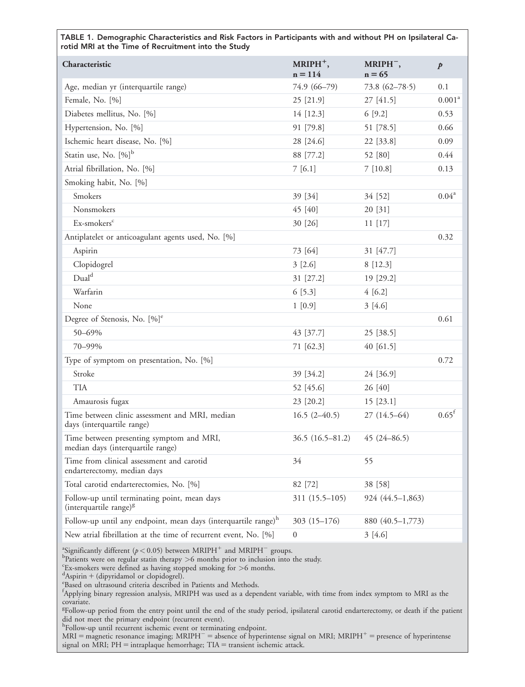TABLE 1. Demographic Characteristics and Risk Factors in Participants with and without PH on Ipsilateral Carotid MRI at the Time of Recruitment into the Study

| Characteristic                                                                     | $MRIPH^+,$<br>$n = 114$ | MRIPH <sup>-</sup> ,<br>$n = 65$ | $\boldsymbol{p}$   |
|------------------------------------------------------------------------------------|-------------------------|----------------------------------|--------------------|
| Age, median yr (interquartile range)                                               | 74.9 (66-79)            | 73.8 $(62 - 78.5)$               | 0.1                |
| Female, No. [%]                                                                    | 25 [21.9]               | 27 [41.5]                        | 0.001 <sup>a</sup> |
| Diabetes mellitus, No. [%]                                                         | 14 [12.3]               | 6[9.2]                           | 0.53               |
| Hypertension, No. [%]                                                              | 91 [79.8]               | 51 [78.5]                        | 0.66               |
| Ischemic heart disease, No. [%]                                                    | 28 [24.6]               | 22 [33.8]                        | 0.09               |
| Statin use, No. [%] <sup>b</sup>                                                   | 88 [77.2]               | 52 [80]                          | 0.44               |
| Atrial fibrillation, No. [%]                                                       | 7[6.1]                  | 7[10.8]                          | 0.13               |
| Smoking habit, No. [%]                                                             |                         |                                  |                    |
| Smokers                                                                            | 39 [34]                 | 34 [52]                          | $0.04^a$           |
| Nonsmokers                                                                         | 45 [40]                 | 20 [31]                          |                    |
| Ex-smokers <sup>c</sup>                                                            | 30 [26]                 | 11 [17]                          |                    |
| Antiplatelet or anticoagulant agents used, No. [%]                                 |                         |                                  | 0.32               |
| Aspirin                                                                            | 73 [64]                 | 31 [47.7]                        |                    |
| Clopidogrel                                                                        | 3[2.6]                  | 8 [12.3]                         |                    |
| Dual <sup>d</sup>                                                                  | 31 [27.2]               | 19 [29.2]                        |                    |
| Warfarin                                                                           | 6 [5.3]                 | 4[6.2]                           |                    |
| None                                                                               | 1 [0.9]                 | 3[4.6]                           |                    |
| Degree of Stenosis, No. [%] <sup>e</sup>                                           |                         |                                  | 0.61               |
| 50-69%                                                                             | 43 [37.7]               | 25 [38.5]                        |                    |
| 70-99%                                                                             | 71 [62.3]               | 40 [61.5]                        |                    |
| Type of symptom on presentation, No. [%]                                           |                         |                                  | 0.72               |
| Stroke                                                                             | 39 [34.2]               | 24 [36.9]                        |                    |
| <b>TIA</b>                                                                         | 52 [45.6]               | 26 [40]                          |                    |
| Amaurosis fugax                                                                    | 23 [20.2]               | 15 [23.1]                        |                    |
| Time between clinic assessment and MRI, median<br>days (interquartile range)       | $16.5(2-40.5)$          | $27(14.5-64)$                    | $0.65^{\rm f}$     |
| Time between presenting symptom and MRI,<br>median days (interquartile range)      | $36.5(16.5-81.2)$       | $45(24 - 86.5)$                  |                    |
| Time from clinical assessment and carotid<br>endarterectomy, median days           | 34                      | 55                               |                    |
| Total carotid endarterectomies, No. [%]                                            | 82 [72]                 | 38 [58]                          |                    |
| Follow-up until terminating point, mean days<br>(interquartile range) <sup>g</sup> | 311 (15.5-105)          | 924 (44.5-1,863)                 |                    |
| Follow-up until any endpoint, mean days (interquartile range) <sup>h</sup>         | $303(15-176)$           | 880 (40.5-1,773)                 |                    |
| New atrial fibrillation at the time of recurrent event, No. [%]                    | $\boldsymbol{0}$        | 3[4.6]                           |                    |

<sup>a</sup>Significantly different ( $p < 0.05$ ) between MRIPH<sup>+</sup> and MRIPH<sup>-</sup> groups.

Patients were on regular statin therapy  $>6$  months prior to inclusion into the study.<br><sup>C</sup>Ex smakers were defined as baying stopped smaking for  $>6$  months.

 $c$ <sup>Ex-smokers</sup> were defined as having stopped smoking for  $>$  6 months.

 ${}^{d}$ Aspirin + (dipyridamol or clopidogrel).

Based on ultrasound criteria described in Patients and Methods.

f Applying binary regression analysis, MRIPH was used as a dependent variable, with time from index symptom to MRI as the covariate.

<sup>g</sup>Follow-up period from the entry point until the end of the study period, ipsilateral carotid endarterectomy, or death if the patient

did not meet the primary endpoint (recurrent event). h Follow-up until recurrent ischemic event or terminating endpoint.

 $MRI = n$ agnetic resonance imaging;  $MRIPH^{-}$  = absence of hyperintense signal on MRI; MRIPH<sup>+</sup> = presence of hyperintense signal on MRI;  $PH = intraphaque$  hemorrhage;  $TIA = transition$  ischemic attack.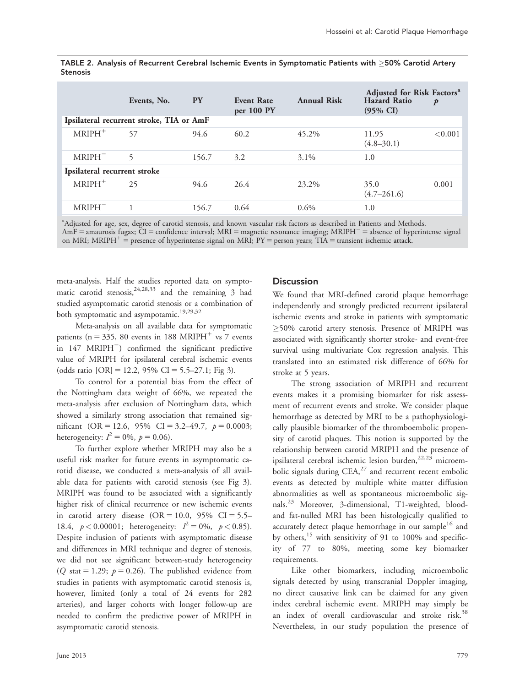TABLE 2. Analysis of Recurrent Cerebral Ischemic Events in Symptomatic Patients with  $\geq$ 50% Carotid Artery Stenosis

|                                          | Events, No. | <b>PY</b> | <b>Event Rate</b><br>per 100 PY | <b>Annual Risk</b> | Adjusted for Risk Factors <sup>a</sup><br>Hazard Ratio $p$<br>$(95\% \text{ CI})$ | $\boldsymbol{p}$ |  |
|------------------------------------------|-------------|-----------|---------------------------------|--------------------|-----------------------------------------------------------------------------------|------------------|--|
| Ipsilateral recurrent stroke, TIA or AmF |             |           |                                 |                    |                                                                                   |                  |  |
| $MRIPH+$                                 | 57          | 94.6      | 60.2                            | 45.2%              | 11.95<br>$(4.8 - 30.1)$                                                           | < 0.001          |  |
| $MRIPH^-$                                | 5           | 156.7     | 3.2                             | $3.1\%$            | 1.0                                                                               |                  |  |
| Ipsilateral recurrent stroke             |             |           |                                 |                    |                                                                                   |                  |  |
| $MRIPH+$                                 | 25          | 94.6      | 26.4                            | 23.2%              | 35.0<br>$(4.7 - 261.6)$                                                           | 0.001            |  |
| $MRIPH^-$                                | 1           | 156.7     | 0.64                            | $0.6\%$            | 1.0                                                                               |                  |  |

<sup>a</sup>Adjusted for age, sex, degree of carotid stenosis, and known vascular risk factors as described in Patients and Methods.  $AmF =$ amaurosis fugax; CI = confidence interval; MRI = magnetic resonance imaging; MRIPH<sup>-</sup> = absence of hyperintense signal on MRI; MRIPH<sup>+</sup> = presence of hyperintense signal on MRI; PY = person years; TIA = transient ischemic attack.

meta-analysis. Half the studies reported data on symptomatic carotid stenosis,  $24,28,33$  and the remaining 3 had studied asymptomatic carotid stenosis or a combination of both symptomatic and asympotamic.<sup>19,29,32</sup>

Meta-analysis on all available data for symptomatic patients ( $n = 335$ , 80 events in 188 MRIPH<sup>+</sup> vs 7 events in  $147$  MRIPH $^-$ ) confirmed the significant predictive value of MRIPH for ipsilateral cerebral ischemic events (odds ratio  $[OR] = 12.2$ , 95% CI = 5.5–27.1; Fig 3).

To control for a potential bias from the effect of the Nottingham data weight of 66%, we repeated the meta-analysis after exclusion of Nottingham data, which showed a similarly strong association that remained significant (OR = 12.6, 95% CI = 3.2–49.7,  $p = 0.0003$ ; heterogeneity:  $I^2 = 0\%$ ,  $p = 0.06$ ).

To further explore whether MRIPH may also be a useful risk marker for future events in asymptomatic carotid disease, we conducted a meta-analysis of all available data for patients with carotid stenosis (see Fig 3). MRIPH was found to be associated with a significantly higher risk of clinical recurrence or new ischemic events in carotid artery disease  $(OR = 10.0, 95\% \text{ CI} = 5.5-$ 18.4,  $p < 0.00001$ ; heterogeneity:  $I^2 = 0\%$ ,  $p < 0.85$ ). Despite inclusion of patients with asymptomatic disease and differences in MRI technique and degree of stenosis, we did not see significant between-study heterogeneity (Q stat = 1.29;  $p = 0.26$ ). The published evidence from studies in patients with asymptomatic carotid stenosis is, however, limited (only a total of 24 events for 282 arteries), and larger cohorts with longer follow-up are needed to confirm the predictive power of MRIPH in asymptomatic carotid stenosis.

#### **Discussion**

We found that MRI-defined carotid plaque hemorrhage independently and strongly predicted recurrent ipsilateral ischemic events and stroke in patients with symptomatic  $\geq$ 50% carotid artery stenosis. Presence of MRIPH was associated with significantly shorter stroke- and event-free survival using multivariate Cox regression analysis. This translated into an estimated risk difference of 66% for stroke at 5 years.

The strong association of MRIPH and recurrent events makes it a promising biomarker for risk assessment of recurrent events and stroke. We consider plaque hemorrhage as detected by MRI to be a pathophysiologically plausible biomarker of the thromboembolic propensity of carotid plaques. This notion is supported by the relationship between carotid MRIPH and the presence of ipsilateral cerebral ischemic lesion burden, $22,23$  microembolic signals during  $CEA$ <sup>27</sup> and recurrent recent embolic events as detected by multiple white matter diffusion abnormalities as well as spontaneous microembolic signals.<sup>23</sup> Moreover, 3-dimensional, T1-weighted, bloodand fat-nulled MRI has been histologically qualified to accurately detect plaque hemorrhage in our sample<sup>16</sup> and by others,  $15$  with sensitivity of 91 to 100% and specificity of 77 to 80%, meeting some key biomarker requirements.

Like other biomarkers, including microembolic signals detected by using transcranial Doppler imaging, no direct causative link can be claimed for any given index cerebral ischemic event. MRIPH may simply be an index of overall cardiovascular and stroke risk.<sup>38</sup> Nevertheless, in our study population the presence of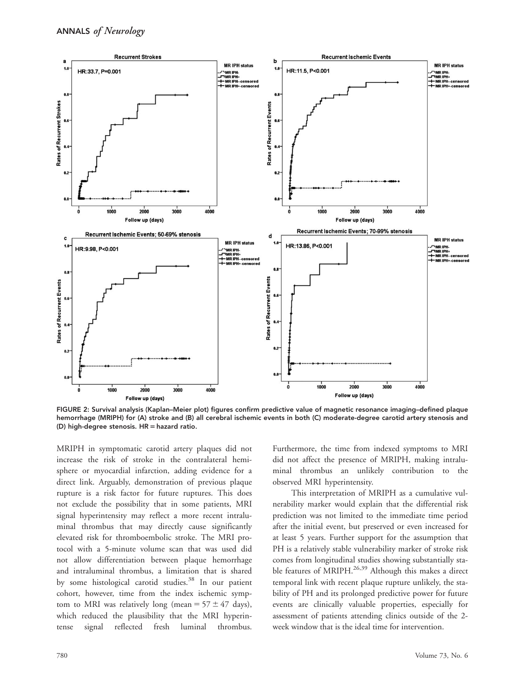

FIGURE 2: Survival analysis (Kaplan–Meier plot) figures confirm predictive value of magnetic resonance imaging–defined plaque hemorrhage (MRIPH) for (A) stroke and (B) all cerebral ischemic events in both (C) moderate-degree carotid artery stenosis and (D) high-degree stenosis.  $HR =$  hazard ratio.

MRIPH in symptomatic carotid artery plaques did not increase the risk of stroke in the contralateral hemisphere or myocardial infarction, adding evidence for a direct link. Arguably, demonstration of previous plaque rupture is a risk factor for future ruptures. This does not exclude the possibility that in some patients, MRI signal hyperintensity may reflect a more recent intraluminal thrombus that may directly cause significantly elevated risk for thromboembolic stroke. The MRI protocol with a 5-minute volume scan that was used did not allow differentiation between plaque hemorrhage and intraluminal thrombus, a limitation that is shared by some histological carotid studies.<sup>38</sup> In our patient cohort, however, time from the index ischemic symptom to MRI was relatively long (mean =  $57 \pm 47$  days), which reduced the plausibility that the MRI hyperintense signal reflected fresh luminal thrombus.

Furthermore, the time from indexed symptoms to MRI did not affect the presence of MRIPH, making intraluminal thrombus an unlikely contribution to the observed MRI hyperintensity.

This interpretation of MRIPH as a cumulative vulnerability marker would explain that the differential risk prediction was not limited to the immediate time period after the initial event, but preserved or even increased for at least 5 years. Further support for the assumption that PH is a relatively stable vulnerability marker of stroke risk comes from longitudinal studies showing substantially stable features of MRIPH. $^{26,39}$  Although this makes a direct temporal link with recent plaque rupture unlikely, the stability of PH and its prolonged predictive power for future events are clinically valuable properties, especially for assessment of patients attending clinics outside of the 2 week window that is the ideal time for intervention.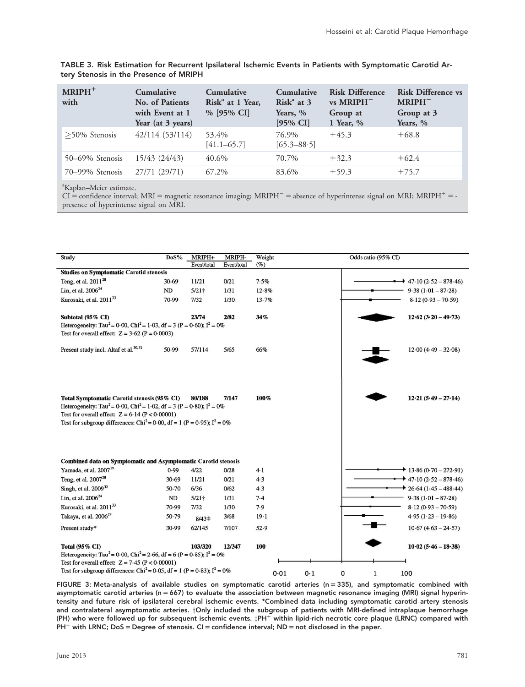TABLE 3. Risk Estimation for Recurrent Ipsilateral Ischemic Events in Patients with Symptomatic Carotid Artery Stenosis in the Presence of MRIPH

| $MRIPH+$<br>with | <b>Cumulative</b><br>No. of Patients<br>with Event at 1<br>Year (at 3 years) | <b>Cumulative</b><br>Risk <sup>a</sup> at 1 Year,<br>$%$ [95% CI] | <b>Cumulative</b><br>$Riska$ at 3<br>Years, %<br>$[95\% \text{ CI}]$ | <b>Risk Difference</b><br>vs MRIPH<br>Group at<br>1 Year, $%$ | <b>Risk Difference vs</b><br>MRIPH <sup>-</sup><br>Group at 3<br>Years, % |
|------------------|------------------------------------------------------------------------------|-------------------------------------------------------------------|----------------------------------------------------------------------|---------------------------------------------------------------|---------------------------------------------------------------------------|
| $>50\%$ Stenosis | 42/114 (53/114)                                                              | 53.4%<br>$[41.1 - 65.7]$                                          | 76.9%<br>$[65.3 - 88.5]$                                             | $+45.3$                                                       | $+68.8$                                                                   |
| 50–69% Stenosis  | 15/43 (24/43)                                                                | 40.6%                                                             | 70.7%                                                                | $+32.3$                                                       | $+62.4$                                                                   |
| 70–99% Stenosis  | 27/71 (29/71)                                                                | 67.2%                                                             | 83.6%                                                                | $+59.3$                                                       | $+75.7$                                                                   |

<sup>a</sup>Kaplan-Meier estimate.

 $CI =$  confidence interval; MRI = magnetic resonance imaging; MRIPH<sup>-</sup> = absence of hyperintense signal on MRI; MRIPH<sup>+</sup> = presence of hyperintense signal on MRI.



FIGURE 3: Meta-analysis of available studies on symptomatic carotid arteries (n = 335), and symptomatic combined with asymptomatic carotid arteries ( $n = 667$ ) to evaluate the association between magnetic resonance imaging (MRI) signal hyperintensity and future risk of ipsilateral cerebral ischemic events. \*Combined data including symptomatic carotid artery stenosis and contralateral asymptomatic arteries. <sup>†</sup>Only included the subgroup of patients with MRI-defined intraplaque hemorrhage (PH) who were followed up for subsequent ischemic events.  $\sharp PH^+$  within lipid-rich necrotic core plaque (LRNC) compared with  $PH^-$  with LRNC; DoS = Degree of stenosis. CI = confidence interval; ND = not disclosed in the paper.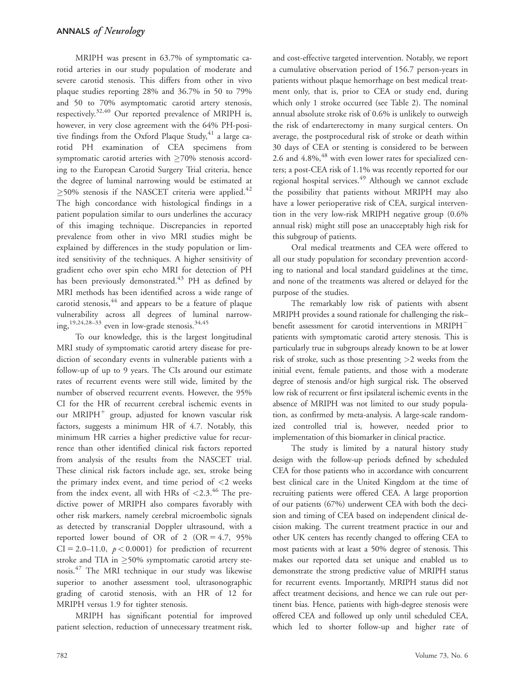MRIPH was present in 63.7% of symptomatic carotid arteries in our study population of moderate and severe carotid stenosis. This differs from other in vivo plaque studies reporting 28% and 36.7% in 50 to 79% and 50 to 70% asymptomatic carotid artery stenosis, respectively.32,40 Our reported prevalence of MRIPH is, however, in very close agreement with the 64% PH-positive findings from the Oxford Plaque Study,  $41$  a large carotid PH examination of CEA specimens from symptomatic carotid arteries with  $\geq$ 70% stenosis according to the European Carotid Surgery Trial criteria, hence the degree of luminal narrowing would be estimated at  $\geq$ 50% stenosis if the NASCET criteria were applied.<sup>42</sup> The high concordance with histological findings in a patient population similar to ours underlines the accuracy of this imaging technique. Discrepancies in reported prevalence from other in vivo MRI studies might be explained by differences in the study population or limited sensitivity of the techniques. A higher sensitivity of gradient echo over spin echo MRI for detection of PH has been previously demonstrated.<sup>43</sup> PH as defined by MRI methods has been identified across a wide range of carotid stenosis, <sup>44</sup> and appears to be a feature of plaque vulnerability across all degrees of luminal narrowing,<sup>19,24,28-33</sup> even in low-grade stenosis.<sup>34,45</sup>

To our knowledge, this is the largest longitudinal MRI study of symptomatic carotid artery disease for prediction of secondary events in vulnerable patients with a follow-up of up to 9 years. The CIs around our estimate rates of recurrent events were still wide, limited by the number of observed recurrent events. However, the 95% CI for the HR of recurrent cerebral ischemic events in our MRIPH<sup>+</sup> group, adjusted for known vascular risk factors, suggests a minimum HR of 4.7. Notably, this minimum HR carries a higher predictive value for recurrence than other identified clinical risk factors reported from analysis of the results from the NASCET trial. These clinical risk factors include age, sex, stroke being the primary index event, and time period of  $<$ 2 weeks from the index event, all with HRs of  $\langle 2.3, 46 \rangle$  The predictive power of MRIPH also compares favorably with other risk markers, namely cerebral microembolic signals as detected by transcranial Doppler ultrasound, with a reported lower bound of OR of 2 (OR  $= 4.7, 95\%$  $CI = 2.0-11.0$ ,  $p < 0.0001$ ) for prediction of recurrent stroke and TIA in  $\geq$ 50% symptomatic carotid artery stenosis.<sup>47</sup> The MRI technique in our study was likewise superior to another assessment tool, ultrasonographic grading of carotid stenosis, with an HR of 12 for MRIPH versus 1.9 for tighter stenosis.

MRIPH has significant potential for improved patient selection, reduction of unnecessary treatment risk,

and cost-effective targeted intervention. Notably, we report a cumulative observation period of 156.7 person-years in patients without plaque hemorrhage on best medical treatment only, that is, prior to CEA or study end, during which only 1 stroke occurred (see Table 2). The nominal annual absolute stroke risk of 0.6% is unlikely to outweigh the risk of endarterectomy in many surgical centers. On average, the postprocedural risk of stroke or death within 30 days of CEA or stenting is considered to be between 2.6 and  $4.8\%$ ,  $4.8$  with even lower rates for specialized centers; a post-CEA risk of 1.1% was recently reported for our regional hospital services.<sup>49</sup> Although we cannot exclude the possibility that patients without MRIPH may also have a lower perioperative risk of CEA, surgical intervention in the very low-risk MRIPH negative group (0.6% annual risk) might still pose an unacceptably high risk for this subgroup of patients.

Oral medical treatments and CEA were offered to all our study population for secondary prevention according to national and local standard guidelines at the time, and none of the treatments was altered or delayed for the purpose of the studies.

The remarkably low risk of patients with absent MRIPH provides a sound rationale for challenging the risk– benefit assessment for carotid interventions in MRIPH<sup>-</sup> patients with symptomatic carotid artery stenosis. This is particularly true in subgroups already known to be at lower risk of stroke, such as those presenting >2 weeks from the initial event, female patients, and those with a moderate degree of stenosis and/or high surgical risk. The observed low risk of recurrent or first ipsilateral ischemic events in the absence of MRIPH was not limited to our study population, as confirmed by meta-analysis. A large-scale randomized controlled trial is, however, needed prior to implementation of this biomarker in clinical practice.

The study is limited by a natural history study design with the follow-up periods defined by scheduled CEA for those patients who in accordance with concurrent best clinical care in the United Kingdom at the time of recruiting patients were offered CEA. A large proportion of our patients (67%) underwent CEA with both the decision and timing of CEA based on independent clinical decision making. The current treatment practice in our and other UK centers has recently changed to offering CEA to most patients with at least a 50% degree of stenosis. This makes our reported data set unique and enabled us to demonstrate the strong predictive value of MRIPH status for recurrent events. Importantly, MRIPH status did not affect treatment decisions, and hence we can rule out pertinent bias. Hence, patients with high-degree stenosis were offered CEA and followed up only until scheduled CEA, which led to shorter follow-up and higher rate of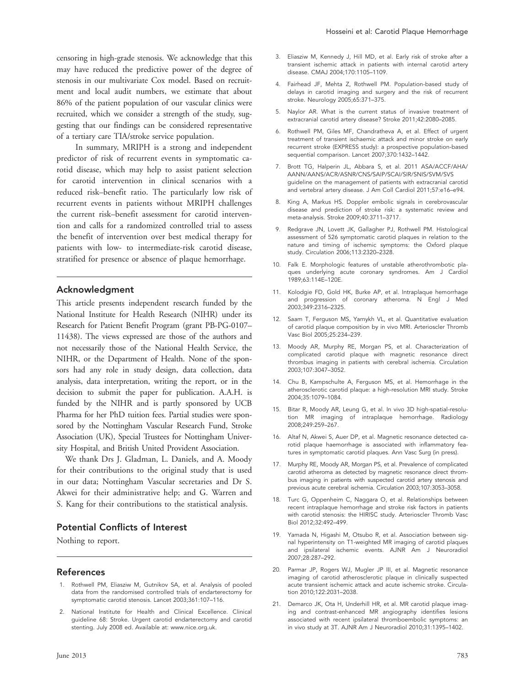censoring in high-grade stenosis. We acknowledge that this may have reduced the predictive power of the degree of stenosis in our multivariate Cox model. Based on recruitment and local audit numbers, we estimate that about 86% of the patient population of our vascular clinics were recruited, which we consider a strength of the study, suggesting that our findings can be considered representative of a tertiary care TIA/stroke service population.

In summary, MRIPH is a strong and independent predictor of risk of recurrent events in symptomatic carotid disease, which may help to assist patient selection for carotid intervention in clinical scenarios with a reduced risk–benefit ratio. The particularly low risk of recurrent events in patients without MRIPH challenges the current risk–benefit assessment for carotid intervention and calls for a randomized controlled trial to assess the benefit of intervention over best medical therapy for patients with low- to intermediate-risk carotid disease, stratified for presence or absence of plaque hemorrhage.

#### Acknowledgment

This article presents independent research funded by the National Institute for Health Research (NIHR) under its Research for Patient Benefit Program (grant PB-PG-0107– 11438). The views expressed are those of the authors and not necessarily those of the National Health Service, the NIHR, or the Department of Health. None of the sponsors had any role in study design, data collection, data analysis, data interpretation, writing the report, or in the decision to submit the paper for publication. A.A.H. is funded by the NIHR and is partly sponsored by UCB Pharma for her PhD tuition fees. Partial studies were sponsored by the Nottingham Vascular Research Fund, Stroke Association (UK), Special Trustees for Nottingham University Hospital, and British United Provident Association.

We thank Drs J. Gladman, L. Daniels, and A. Moody for their contributions to the original study that is used in our data; Nottingham Vascular secretaries and Dr S. Akwei for their administrative help; and G. Warren and S. Kang for their contributions to the statistical analysis.

# Potential Conflicts of Interest

Nothing to report.

### References

- 1. Rothwell PM, Eliasziw M, Gutnikov SA, et al. Analysis of pooled data from the randomised controlled trials of endarterectomy for symptomatic carotid stenosis. Lancet 2003;361:107–116.
- 2. National Institute for Health and Clinical Excellence. Clinical guideline 68: Stroke. Urgent carotid endarterectomy and carotid stenting. July 2008 ed. Available at: [www.nice.org.uk.](www.nice.org.uk)
- 3. Eliasziw M, Kennedy J, Hill MD, et al. Early risk of stroke after a transient ischemic attack in patients with internal carotid artery disease. CMAJ 2004;170:1105–1109.
- 4. Fairhead JF, Mehta Z, Rothwell PM. Population-based study of delays in carotid imaging and surgery and the risk of recurrent stroke. Neurology 2005;65:371–375.
- 5. Naylor AR. What is the current status of invasive treatment of extracranial carotid artery disease? Stroke 2011;42:2080–2085.
- 6. Rothwell PM, Giles MF, Chandratheva A, et al. Effect of urgent treatment of transient ischaemic attack and minor stroke on early recurrent stroke (EXPRESS study): a prospective population-based sequential comparison. Lancet 2007;370:1432–1442.
- 7. Brott TG, Halperin JL, Abbara S, et al. 2011 ASA/ACCF/AHA/ AANN/AANS/ACR/ASNR/CNS/SAIP/SCAI/SIR/SNIS/SVM/SVS guideline on the management of patients with extracranial carotid and vertebral artery disease. J Am Coll Cardiol 2011;57:e16–e94.
- 8. King A, Markus HS. Doppler embolic signals in cerebrovascular disease and prediction of stroke risk: a systematic review and meta-analysis. Stroke 2009;40:3711–3717.
- 9. Redgrave JN, Lovett JK, Gallagher PJ, Rothwell PM. Histological assessment of 526 symptomatic carotid plaques in relation to the nature and timing of ischemic symptoms: the Oxford plaque study. Circulation 2006;113:2320–2328.
- 10. Falk E. Morphologic features of unstable atherothrombotic plaques underlying acute coronary syndromes. Am J Cardiol 1989;63:114E–120E.
- 11. Kolodgie FD, Gold HK, Burke AP, et al. Intraplaque hemorrhage and progression of coronary atheroma. N Engl J Med 2003;349:2316–2325.
- 12. Saam T, Ferguson MS, Yarnykh VL, et al. Quantitative evaluation of carotid plaque composition by in vivo MRI. Arterioscler Thromb Vasc Biol 2005;25:234–239.
- 13. Moody AR, Murphy RE, Morgan PS, et al. Characterization of complicated carotid plaque with magnetic resonance direct thrombus imaging in patients with cerebral ischemia. Circulation 2003;107:3047–3052.
- 14. Chu B, Kampschulte A, Ferguson MS, et al. Hemorrhage in the atherosclerotic carotid plaque: a high-resolution MRI study. Stroke 2004;35:1079–1084.
- 15. Bitar R, Moody AR, Leung G, et al. In vivo 3D high-spatial-resolution MR imaging of intraplaque hemorrhage. Radiology 2008;249:259–267.
- 16. Altaf N, Akwei S, Auer DP, et al. Magnetic resonance detected carotid plaque haemorrhage is associated with inflammatory features in symptomatic carotid plaques. Ann Vasc Surg (in press).
- 17. Murphy RE, Moody AR, Morgan PS, et al. Prevalence of complicated carotid atheroma as detected by magnetic resonance direct thrombus imaging in patients with suspected carotid artery stenosis and previous acute cerebral ischemia. Circulation 2003;107:3053–3058.
- 18. Turc G, Oppenheim C, Naggara O, et al. Relationships between recent intraplaque hemorrhage and stroke risk factors in patients with carotid stenosis: the HIRISC study. Arterioscler Thromb Vasc Biol 2012;32:492–499.
- 19. Yamada N, Higashi M, Otsubo R, et al. Association between signal hyperintensity on T1-weighted MR imaging of carotid plaques and ipsilateral ischemic events. AJNR Am J Neuroradiol 2007;28:287–292.
- 20. Parmar JP, Rogers WJ, Mugler JP III, et al. Magnetic resonance imaging of carotid atherosclerotic plaque in clinically suspected acute transient ischemic attack and acute ischemic stroke. Circulation 2010;122:2031–2038.
- 21. Demarco JK, Ota H, Underhill HR, et al. MR carotid plaque imaging and contrast-enhanced MR angiography identifies lesions associated with recent ipsilateral thromboembolic symptoms: an in vivo study at 3T. AJNR Am J Neuroradiol 2010;31:1395–1402.